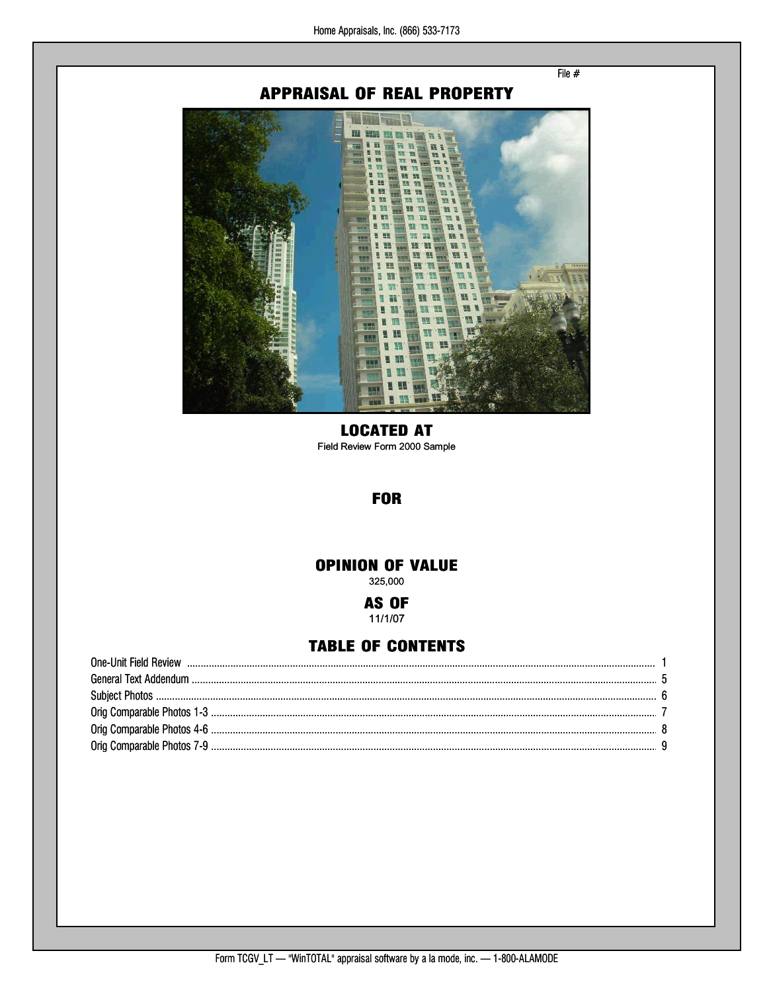File  $#$ 

# **APPRAISAL OF REAL PROPERTY**



## **LOCATED AT**

Field Review Form 2000 Sample

# **FOR**

# **OPINION OF VALUE**

325,000

#### AS OF 11/1/07

## **TABLE OF CONTENTS**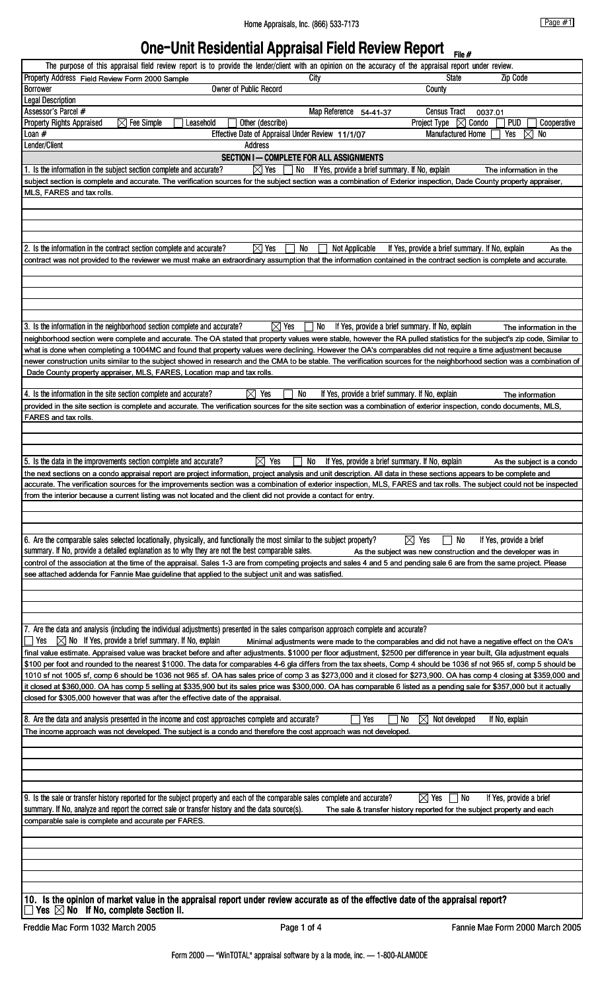# **One-Unit Residential Appraisal Field Review Report**

|                                                                                                                                                                                      | The purpose of this appraisal field review report is to provide the lender/client with an opinion on the accuracy of the appraisal report under review. |                                                  |                                                       |                                                                                                                                                                          |                           |
|--------------------------------------------------------------------------------------------------------------------------------------------------------------------------------------|---------------------------------------------------------------------------------------------------------------------------------------------------------|--------------------------------------------------|-------------------------------------------------------|--------------------------------------------------------------------------------------------------------------------------------------------------------------------------|---------------------------|
| Property Address Field Review Form 2000 Sample                                                                                                                                       |                                                                                                                                                         |                                                  | City                                                  | <b>Zip Code</b><br><b>State</b>                                                                                                                                          |                           |
| <b>Borrower</b>                                                                                                                                                                      |                                                                                                                                                         | Owner of Public Record                           |                                                       | County                                                                                                                                                                   |                           |
| <b>Legal Description</b>                                                                                                                                                             |                                                                                                                                                         |                                                  |                                                       |                                                                                                                                                                          |                           |
| Assessor's Parcel #                                                                                                                                                                  |                                                                                                                                                         |                                                  | Map Reference 54-41-37                                | <b>Census Tract</b><br>0037.01                                                                                                                                           |                           |
| <b>Property Rights Appraised</b>                                                                                                                                                     | $\boxtimes$ Fee Simple<br>Leasehold                                                                                                                     | Other (describe)                                 |                                                       | Project Type $\boxtimes$ Condo<br><b>PUD</b>                                                                                                                             | Cooperative               |
| Loan #                                                                                                                                                                               |                                                                                                                                                         | Effective Date of Appraisal Under Review 11/1/07 |                                                       | <b>Manufactured Home</b><br>⊠<br>Yes                                                                                                                                     | No                        |
| Lender/Client                                                                                                                                                                        |                                                                                                                                                         | <b>Address</b>                                   | <b>SECTION I-COMPLETE FOR ALL ASSIGNMENTS</b>         |                                                                                                                                                                          |                           |
| 1. Is the information in the subject section complete and accurate?                                                                                                                  |                                                                                                                                                         | $\boxtimes$ Yes                                  | No If Yes, provide a brief summary. If No, explain    | The information in the                                                                                                                                                   |                           |
|                                                                                                                                                                                      |                                                                                                                                                         |                                                  |                                                       | subject section is complete and accurate. The verification sources for the subject section was a combination of Exterior inspection, Dade County property appraiser,     |                           |
| MLS, FARES and tax rolls.                                                                                                                                                            |                                                                                                                                                         |                                                  |                                                       |                                                                                                                                                                          |                           |
|                                                                                                                                                                                      |                                                                                                                                                         |                                                  |                                                       |                                                                                                                                                                          |                           |
|                                                                                                                                                                                      |                                                                                                                                                         |                                                  |                                                       |                                                                                                                                                                          |                           |
|                                                                                                                                                                                      |                                                                                                                                                         |                                                  |                                                       |                                                                                                                                                                          |                           |
| 2. Is the information in the contract section complete and accurate?                                                                                                                 |                                                                                                                                                         | $\boxtimes$ Yes<br>No                            | Not Applicable                                        | If Yes, provide a brief summary. If No, explain                                                                                                                          | As the                    |
|                                                                                                                                                                                      |                                                                                                                                                         |                                                  |                                                       | contract was not provided to the reviewer we must make an extraordinary assumption that the information contained in the contract section is complete and accurate.      |                           |
|                                                                                                                                                                                      |                                                                                                                                                         |                                                  |                                                       |                                                                                                                                                                          |                           |
|                                                                                                                                                                                      |                                                                                                                                                         |                                                  |                                                       |                                                                                                                                                                          |                           |
|                                                                                                                                                                                      |                                                                                                                                                         |                                                  |                                                       |                                                                                                                                                                          |                           |
|                                                                                                                                                                                      |                                                                                                                                                         |                                                  |                                                       |                                                                                                                                                                          |                           |
| 3. Is the information in the neighborhood section complete and accurate?                                                                                                             |                                                                                                                                                         | $\boxtimes$ Yes                                  | No<br>If Yes, provide a brief summary. If No, explain |                                                                                                                                                                          | The information in the    |
|                                                                                                                                                                                      |                                                                                                                                                         |                                                  |                                                       | neighborhood section were complete and accurate. The OA stated that property values were stable, however the RA pulled statistics for the subject's zip code, Similar to |                           |
|                                                                                                                                                                                      |                                                                                                                                                         |                                                  |                                                       | what is done when completing a 1004MC and found that property values were declining. However the OA's comparables did not require a time adjustment because              |                           |
|                                                                                                                                                                                      |                                                                                                                                                         |                                                  |                                                       | newer construction units similar to the subject showed in research and the CMA to be stable. The verification sources for the neighborhood section was a combination of  |                           |
| Dade County property appraiser, MLS, FARES, Location map and tax rolls.                                                                                                              |                                                                                                                                                         |                                                  |                                                       |                                                                                                                                                                          |                           |
| 4. Is the information in the site section complete and accurate?                                                                                                                     |                                                                                                                                                         | $\boxtimes$ Yes<br>No                            | If Yes, provide a brief summary. If No, explain       | The information                                                                                                                                                          |                           |
|                                                                                                                                                                                      |                                                                                                                                                         |                                                  |                                                       | provided in the site section is complete and accurate. The verification sources for the site section was a combination of exterior inspection, condo documents, MLS,     |                           |
| FARES and tax rolls.                                                                                                                                                                 |                                                                                                                                                         |                                                  |                                                       |                                                                                                                                                                          |                           |
|                                                                                                                                                                                      |                                                                                                                                                         |                                                  |                                                       |                                                                                                                                                                          |                           |
|                                                                                                                                                                                      |                                                                                                                                                         |                                                  |                                                       |                                                                                                                                                                          |                           |
|                                                                                                                                                                                      |                                                                                                                                                         | $\boxtimes$ Yes                                  | No                                                    |                                                                                                                                                                          |                           |
| 5. Is the data in the improvements section complete and accurate?                                                                                                                    |                                                                                                                                                         |                                                  | If Yes, provide a brief summary. If No, explain       | the next sections on a condo appraisal report are project information, project analysis and unit description. All data in these sections appears to be complete and      | As the subject is a condo |
|                                                                                                                                                                                      |                                                                                                                                                         |                                                  |                                                       | accurate. The verification sources for the improvements section was a combination of exterior inspection, MLS, FARES and tax rolls. The subject could not be inspected   |                           |
| from the interior because a current listing was not located and the client did not provide a contact for entry.                                                                      |                                                                                                                                                         |                                                  |                                                       |                                                                                                                                                                          |                           |
|                                                                                                                                                                                      |                                                                                                                                                         |                                                  |                                                       |                                                                                                                                                                          |                           |
|                                                                                                                                                                                      |                                                                                                                                                         |                                                  |                                                       |                                                                                                                                                                          |                           |
| 6. Are the comparable sales selected locationally, physically, and functionally the most similar to the subject property?                                                            |                                                                                                                                                         |                                                  |                                                       | $\boxtimes$ Yes<br>No<br>If Yes, provide a brief                                                                                                                         |                           |
| summary. If No, provide a detailed explanation as to why they are not the best comparable sales.                                                                                     |                                                                                                                                                         |                                                  |                                                       | As the subject was new construction and the developer was in                                                                                                             |                           |
|                                                                                                                                                                                      |                                                                                                                                                         |                                                  |                                                       | control of the association at the time of the appraisal. Sales 1-3 are from competing projects and sales 4 and 5 and pending sale 6 are from the same project. Please    |                           |
| see attached addenda for Fannie Mae guideline that applied to the subject unit and was satisfied.                                                                                    |                                                                                                                                                         |                                                  |                                                       |                                                                                                                                                                          |                           |
|                                                                                                                                                                                      |                                                                                                                                                         |                                                  |                                                       |                                                                                                                                                                          |                           |
|                                                                                                                                                                                      |                                                                                                                                                         |                                                  |                                                       |                                                                                                                                                                          |                           |
|                                                                                                                                                                                      |                                                                                                                                                         |                                                  |                                                       |                                                                                                                                                                          |                           |
| 7. Are the data and analysis (including the individual adjustments) presented in the sales comparison approach complete and accurate?                                                |                                                                                                                                                         |                                                  |                                                       |                                                                                                                                                                          |                           |
| $\boxtimes$ No If Yes, provide a brief summary. If No, explain<br>Yes                                                                                                                |                                                                                                                                                         |                                                  |                                                       | Minimal adjustments were made to the comparables and did not have a negative effect on the OA's                                                                          |                           |
|                                                                                                                                                                                      |                                                                                                                                                         |                                                  |                                                       | final value estimate. Appraised value was bracket before and after adjustments. \$1000 per floor adjustment, \$2500 per difference in year built, Gla adjustment equals  |                           |
|                                                                                                                                                                                      |                                                                                                                                                         |                                                  |                                                       | \$100 per foot and rounded to the nearest \$1000. The data for comparables 4-6 gla differs from the tax sheets, Comp 4 should be 1036 sf not 965 sf, comp 5 should be    |                           |
|                                                                                                                                                                                      |                                                                                                                                                         |                                                  |                                                       | 1010 sf not 1005 sf, comp 6 should be 1036 not 965 sf. OA has sales price of comp 3 as \$273,000 and it closed for \$273,900. OA has comp 4 closing at \$359,000 and     |                           |
| closed for \$305,000 however that was after the effective date of the appraisal.                                                                                                     |                                                                                                                                                         |                                                  |                                                       | it closed at \$360,000. OA has comp 5 selling at \$335,900 but its sales price was \$300,000. OA has comparable 6 listed as a pending sale for \$357,000 but it actually |                           |
|                                                                                                                                                                                      |                                                                                                                                                         |                                                  |                                                       |                                                                                                                                                                          |                           |
| 8. Are the data and analysis presented in the income and cost approaches complete and accurate?                                                                                      |                                                                                                                                                         |                                                  | Yes<br>No                                             | $\bowtie$<br>Not developed<br>If No, explain                                                                                                                             |                           |
| The income approach was not developed. The subject is a condo and therefore the cost approach was not developed.                                                                     |                                                                                                                                                         |                                                  |                                                       |                                                                                                                                                                          |                           |
|                                                                                                                                                                                      |                                                                                                                                                         |                                                  |                                                       |                                                                                                                                                                          |                           |
|                                                                                                                                                                                      |                                                                                                                                                         |                                                  |                                                       |                                                                                                                                                                          |                           |
|                                                                                                                                                                                      |                                                                                                                                                         |                                                  |                                                       |                                                                                                                                                                          |                           |
|                                                                                                                                                                                      |                                                                                                                                                         |                                                  |                                                       |                                                                                                                                                                          |                           |
| 9. Is the sale or transfer history reported for the subject property and each of the comparable sales complete and accurate?                                                         |                                                                                                                                                         |                                                  |                                                       | If Yes, provide a brief<br>$\boxtimes$ Yes<br>  No                                                                                                                       |                           |
| summary. If No, analyze and report the correct sale or transfer history and the data source(s).                                                                                      |                                                                                                                                                         |                                                  |                                                       | The sale & transfer history reported for the subject property and each                                                                                                   |                           |
| comparable sale is complete and accurate per FARES.                                                                                                                                  |                                                                                                                                                         |                                                  |                                                       |                                                                                                                                                                          |                           |
|                                                                                                                                                                                      |                                                                                                                                                         |                                                  |                                                       |                                                                                                                                                                          |                           |
|                                                                                                                                                                                      |                                                                                                                                                         |                                                  |                                                       |                                                                                                                                                                          |                           |
|                                                                                                                                                                                      |                                                                                                                                                         |                                                  |                                                       |                                                                                                                                                                          |                           |
|                                                                                                                                                                                      |                                                                                                                                                         |                                                  |                                                       |                                                                                                                                                                          |                           |
|                                                                                                                                                                                      |                                                                                                                                                         |                                                  |                                                       |                                                                                                                                                                          |                           |
| 10. Is the opinion of market value in the appraisal report under review accurate as of the effective date of the appraisal report?<br>Yes $\boxtimes$ No If No, complete Section II. |                                                                                                                                                         |                                                  |                                                       |                                                                                                                                                                          |                           |
| Freddie Mac Form 1032 March 2005                                                                                                                                                     |                                                                                                                                                         | Page 1 of 4                                      |                                                       | Fannie Mae Form 2000 March 2005                                                                                                                                          |                           |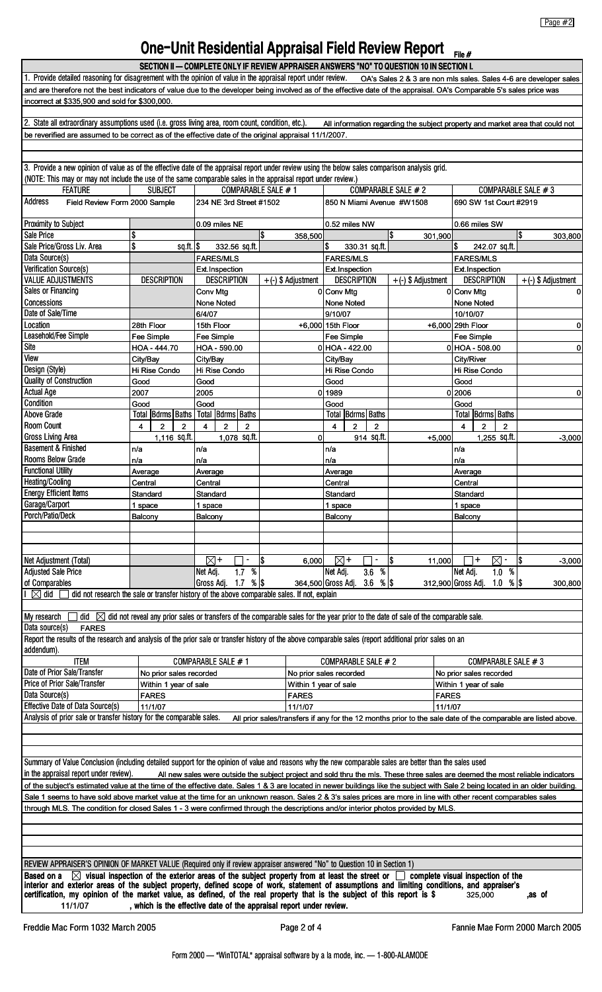# **One-Unit Residential Appraisal Field Review Report**

|                                                                                                                                                                                                                                                                                                      |                                       | SECTION II - COMPLETE ONLY IF REVIEW APPRAISER ANSWERS "NO" TO QUESTION 10 IN SECTION I.                                           |                                                                                                               |                                                                               |                      |              | riie #                                                      |                                                                   |
|------------------------------------------------------------------------------------------------------------------------------------------------------------------------------------------------------------------------------------------------------------------------------------------------------|---------------------------------------|------------------------------------------------------------------------------------------------------------------------------------|---------------------------------------------------------------------------------------------------------------|-------------------------------------------------------------------------------|----------------------|--------------|-------------------------------------------------------------|-------------------------------------------------------------------|
| 1. Provide detailed reasoning for disagreement with the opinion of value in the appraisal report under review.                                                                                                                                                                                       |                                       |                                                                                                                                    |                                                                                                               |                                                                               |                      |              |                                                             | OA's Sales 2 & 3 are non mls sales. Sales 4-6 are developer sales |
| and are therefore not the best indicators of value due to the developer being involved as of the effective date of the appraisal. OA's Comparable 5's sales price was                                                                                                                                |                                       |                                                                                                                                    |                                                                                                               |                                                                               |                      |              |                                                             |                                                                   |
| incorrect at \$335,900 and sold for \$300,000.                                                                                                                                                                                                                                                       |                                       |                                                                                                                                    |                                                                                                               |                                                                               |                      |              |                                                             |                                                                   |
| 2. State all extraordinary assumptions used (i.e. gross living area, room count, condition, etc.).                                                                                                                                                                                                   |                                       |                                                                                                                                    |                                                                                                               | All information regarding the subject property and market area that could not |                      |              |                                                             |                                                                   |
| be reverified are assumed to be correct as of the effective date of the original appraisal 11/1/2007.                                                                                                                                                                                                |                                       |                                                                                                                                    |                                                                                                               |                                                                               |                      |              |                                                             |                                                                   |
|                                                                                                                                                                                                                                                                                                      |                                       |                                                                                                                                    |                                                                                                               |                                                                               |                      |              |                                                             |                                                                   |
| 3. Provide a new opinion of value as of the effective date of the appraisal report under review using the below sales comparison analysis grid.                                                                                                                                                      |                                       |                                                                                                                                    |                                                                                                               |                                                                               |                      |              |                                                             |                                                                   |
| (NOTE: This may or may not include the use of the same comparable sales in the appraisal report under review.)                                                                                                                                                                                       |                                       |                                                                                                                                    |                                                                                                               |                                                                               |                      |              |                                                             |                                                                   |
| <b>FEATURE</b>                                                                                                                                                                                                                                                                                       | <b>SUBJECT</b>                        | COMPARABLE SALE #1                                                                                                                 |                                                                                                               |                                                                               | COMPARABLE SALE # 2  |              |                                                             | COMPARABLE SALE #3                                                |
| <b>Address</b><br>Field Review Form 2000 Sample                                                                                                                                                                                                                                                      |                                       | 234 NE 3rd Street #1502                                                                                                            |                                                                                                               | 850 N Miami Avenue #W1508                                                     |                      |              | 690 SW 1st Court #2919                                      |                                                                   |
| Proximity to Subject                                                                                                                                                                                                                                                                                 |                                       | 0.09 miles NE                                                                                                                      |                                                                                                               | 0.52 miles NW                                                                 |                      |              | 0.66 miles SW                                               |                                                                   |
| Sale Price<br>Sale Price/Gross Liv. Area                                                                                                                                                                                                                                                             | \$<br>\$<br>$sq.fit.$ \$              | 332.56 sq.ft.                                                                                                                      | ß.<br>358,500                                                                                                 | \$<br>330.31 sq.ft.                                                           | S.                   | 301,900      | \$<br>242.07 sq.ft.                                         | l\$<br>303,800                                                    |
| Data Source(s)                                                                                                                                                                                                                                                                                       |                                       | <b>FARES/MLS</b>                                                                                                                   |                                                                                                               | <b>FARES/MLS</b>                                                              |                      |              | <b>FARES/MLS</b>                                            |                                                                   |
| Verification Source(s)                                                                                                                                                                                                                                                                               |                                       | Ext.Inspection                                                                                                                     |                                                                                                               | Ext. Inspection                                                               |                      |              | Ext.Inspection                                              |                                                                   |
| <b>VALUE ADJUSTMENTS</b>                                                                                                                                                                                                                                                                             | <b>DESCRIPTION</b>                    | <b>DESCRIPTION</b>                                                                                                                 | $+$ (-) \$ Adjustment                                                                                         | <b>DESCRIPTION</b>                                                            | $+(-)$ \$ Adjustment |              | <b>DESCRIPTION</b>                                          | $+(-)$ \$ Adjustment                                              |
| <b>Sales or Financing</b>                                                                                                                                                                                                                                                                            |                                       | Conv Mtg                                                                                                                           |                                                                                                               | 0 Conv Mtg                                                                    |                      |              | 0 Conv Mtg                                                  | 0                                                                 |
| Concessions<br>Date of Sale/Time                                                                                                                                                                                                                                                                     |                                       | None Noted<br>6/4/07                                                                                                               |                                                                                                               | <b>None Noted</b><br>9/10/07                                                  |                      |              | None Noted<br>10/10/07                                      |                                                                   |
| Location                                                                                                                                                                                                                                                                                             | 28th Floor                            | 15th Floor                                                                                                                         |                                                                                                               | +6.000 15th Floor                                                             |                      |              | +6,000 29th Floor                                           | 0                                                                 |
| Leasehold/Fee Simple                                                                                                                                                                                                                                                                                 | Fee Simple                            | Fee Simple                                                                                                                         |                                                                                                               | Fee Simple                                                                    |                      |              | Fee Simple                                                  |                                                                   |
| Site                                                                                                                                                                                                                                                                                                 | HOA - 444.70                          | HOA - 590.00                                                                                                                       |                                                                                                               | $0$ HOA - 422.00                                                              |                      |              | $0$ HOA - 508.00                                            | 0                                                                 |
| View                                                                                                                                                                                                                                                                                                 | City/Bay                              | City/Bay                                                                                                                           |                                                                                                               | City/Bay                                                                      |                      |              | City/River                                                  |                                                                   |
| Design (Style)<br>Quality of Construction                                                                                                                                                                                                                                                            | Hi Rise Condo<br>Good                 | Hi Rise Condo<br>Good                                                                                                              |                                                                                                               | Hi Rise Condo<br>Good                                                         |                      |              | Hi Rise Condo<br>Good                                       |                                                                   |
| <b>Actual Age</b>                                                                                                                                                                                                                                                                                    | 2007                                  | 2005                                                                                                                               |                                                                                                               | 0 1989                                                                        |                      |              | 0 2006                                                      | 0                                                                 |
| Condition                                                                                                                                                                                                                                                                                            | Good                                  | Good                                                                                                                               |                                                                                                               | Good                                                                          |                      |              | Good                                                        |                                                                   |
| Above Grade                                                                                                                                                                                                                                                                                          | Total   Bdrms   Baths                 | Total  Bdrms   Baths                                                                                                               |                                                                                                               | Total   Bdrms   Baths                                                         |                      |              | Total   Bdrms   Baths                                       |                                                                   |
| <b>Room Count</b>                                                                                                                                                                                                                                                                                    | $\overline{2}$<br>$\overline{2}$<br>4 | $\overline{2}$<br>$\overline{2}$<br>$\overline{\mathbf{4}}$                                                                        |                                                                                                               | $\overline{2}$<br>$\overline{\mathbf{4}}$<br>$\overline{2}$                   |                      |              | $\overline{2}$<br>$\overline{\mathbf{4}}$<br>$\overline{2}$ |                                                                   |
| <b>Gross Living Area</b><br><b>Basement &amp; Finished</b>                                                                                                                                                                                                                                           | 1,116 sq.ft.                          | 1,078 sq.ft.<br>n/a                                                                                                                | $\Omega$                                                                                                      | 914 sq.ft.<br>n/a                                                             |                      | $+5,000$     | 1,255 sq.ft.                                                | $-3,000$                                                          |
| Rooms Below Grade                                                                                                                                                                                                                                                                                    | n/a<br>n/a                            | n/a                                                                                                                                |                                                                                                               | n/a                                                                           |                      |              | n/a<br>n/a                                                  |                                                                   |
| <b>Functional Utility</b>                                                                                                                                                                                                                                                                            | Average                               | Average                                                                                                                            |                                                                                                               | Average                                                                       |                      |              | Average                                                     |                                                                   |
| <b>Heating/Cooling</b>                                                                                                                                                                                                                                                                               | Central                               | Central                                                                                                                            |                                                                                                               | Central                                                                       |                      |              | Central                                                     |                                                                   |
| <b>Energy Efficient Items</b>                                                                                                                                                                                                                                                                        | Standard                              | Standard                                                                                                                           |                                                                                                               | Standard                                                                      |                      |              | Standard                                                    |                                                                   |
| Garage/Carport<br>Porch/Patio/Deck                                                                                                                                                                                                                                                                   | 1 space<br>Balcony                    | 1 space<br>Balcony                                                                                                                 |                                                                                                               | 1 space<br>Balcony                                                            |                      |              | 1 space<br>Balcony                                          |                                                                   |
|                                                                                                                                                                                                                                                                                                      |                                       |                                                                                                                                    |                                                                                                               |                                                                               |                      |              |                                                             |                                                                   |
|                                                                                                                                                                                                                                                                                                      |                                       |                                                                                                                                    |                                                                                                               |                                                                               |                      |              |                                                             |                                                                   |
| Net Adjustment (Total)                                                                                                                                                                                                                                                                               |                                       | $\boxtimes$ +                                                                                                                      | 1\$<br>6,000                                                                                                  | ⊠+                                                                            | I\$                  | 11,000       | $\ddag$<br>⊠                                                | 1\$<br>$-3,000$                                                   |
| <b>Adjusted Sale Price</b>                                                                                                                                                                                                                                                                           |                                       | %<br>1.7<br>Net Adj.                                                                                                               |                                                                                                               | Net Adj.<br>3.6 %                                                             |                      |              | $\%$<br>Net Adj.<br>1.0                                     |                                                                   |
| of Comparables                                                                                                                                                                                                                                                                                       |                                       | 1.7 %<br>Gross Adj.                                                                                                                |                                                                                                               | 364,500 Gross Adj.<br>3.6 %                                                   |                      |              | 312,900 Gross Adj. 1.0 % \\$                                | 300,800                                                           |
| $\boxtimes$ did                                                                                                                                                                                                                                                                                      |                                       | did not research the sale or transfer history of the above comparable sales. If not, explain                                       |                                                                                                               |                                                                               |                      |              |                                                             |                                                                   |
| My research<br>did $\bowtie$                                                                                                                                                                                                                                                                         |                                       | did not reveal any prior sales or transfers of the comparable sales for the year prior to the date of sale of the comparable sale. |                                                                                                               |                                                                               |                      |              |                                                             |                                                                   |
| Data source(s)<br><b>FARES</b>                                                                                                                                                                                                                                                                       |                                       |                                                                                                                                    |                                                                                                               |                                                                               |                      |              |                                                             |                                                                   |
| Report the results of the research and analysis of the prior sale or transfer history of the above comparable sales (report additional prior sales on an                                                                                                                                             |                                       |                                                                                                                                    |                                                                                                               |                                                                               |                      |              |                                                             |                                                                   |
| addendum).                                                                                                                                                                                                                                                                                           |                                       |                                                                                                                                    |                                                                                                               |                                                                               |                      |              |                                                             |                                                                   |
| <b>ITEM</b><br>Date of Prior Sale/Transfer                                                                                                                                                                                                                                                           | No prior sales recorded               | COMPARABLE SALE # 1                                                                                                                |                                                                                                               | COMPARABLE SALE # 2<br>No prior sales recorded                                |                      |              | COMPARABLE SALE # 3<br>No prior sales recorded              |                                                                   |
| Price of Prior Sale/Transfer                                                                                                                                                                                                                                                                         | Within 1 year of sale                 |                                                                                                                                    | Within 1 year of sale                                                                                         |                                                                               |                      |              | Within 1 year of sale                                       |                                                                   |
| Data Source(s)                                                                                                                                                                                                                                                                                       | <b>FARES</b>                          |                                                                                                                                    | <b>FARES</b>                                                                                                  |                                                                               |                      | <b>FARES</b> |                                                             |                                                                   |
| <b>Effective Date of Data Source(s)</b>                                                                                                                                                                                                                                                              | 11/1/07                               |                                                                                                                                    | 11/1/07                                                                                                       |                                                                               |                      | 11/1/07      |                                                             |                                                                   |
| Analysis of prior sale or transfer history for the comparable sales.                                                                                                                                                                                                                                 |                                       |                                                                                                                                    | All prior sales/transfers if any for the 12 months prior to the sale date of the comparable are listed above. |                                                                               |                      |              |                                                             |                                                                   |
|                                                                                                                                                                                                                                                                                                      |                                       |                                                                                                                                    |                                                                                                               |                                                                               |                      |              |                                                             |                                                                   |
|                                                                                                                                                                                                                                                                                                      |                                       |                                                                                                                                    |                                                                                                               |                                                                               |                      |              |                                                             |                                                                   |
| Summary of Value Conclusion (including detailed support for the opinion of value and reasons why the new comparable sales are better than the sales used                                                                                                                                             |                                       |                                                                                                                                    |                                                                                                               |                                                                               |                      |              |                                                             |                                                                   |
| in the appraisal report under review).                                                                                                                                                                                                                                                               |                                       | All new sales were outside the subject project and sold thru the mls. These three sales are deemed the most reliable indicators    |                                                                                                               |                                                                               |                      |              |                                                             |                                                                   |
| of the subject's estimated value at the time of the effective date. Sales 1 & 3 are located in newer buildings like the subject with Sale 2 being located in an older building.                                                                                                                      |                                       |                                                                                                                                    |                                                                                                               |                                                                               |                      |              |                                                             |                                                                   |
| Sale 1 seems to have sold above market value at the time for an unknown reason. Sales 2 & 3's sales prices are more in line with other recent comparables sales<br>through MLS. The condition for closed Sales 1 - 3 were confirmed through the descriptions and/or interior photos provided by MLS. |                                       |                                                                                                                                    |                                                                                                               |                                                                               |                      |              |                                                             |                                                                   |
|                                                                                                                                                                                                                                                                                                      |                                       |                                                                                                                                    |                                                                                                               |                                                                               |                      |              |                                                             |                                                                   |
|                                                                                                                                                                                                                                                                                                      |                                       |                                                                                                                                    |                                                                                                               |                                                                               |                      |              |                                                             |                                                                   |
|                                                                                                                                                                                                                                                                                                      |                                       |                                                                                                                                    |                                                                                                               |                                                                               |                      |              |                                                             |                                                                   |
|                                                                                                                                                                                                                                                                                                      |                                       |                                                                                                                                    |                                                                                                               |                                                                               |                      |              |                                                             |                                                                   |
| REVIEW APPRAISER'S OPINION OF MARKET VALUE (Required only if review appraiser answered "No" to Question 10 in Section 1)<br>$\boxtimes$ visual inspection of the exterior areas of the subject property from at least the street or $\Box$<br>complete visual inspection of the<br><b>Based on a</b> |                                       |                                                                                                                                    |                                                                                                               |                                                                               |                      |              |                                                             |                                                                   |
| interior and exterior areas of the subject property, defined scope of work, statement of assumptions and limiting conditions, and appraiser's                                                                                                                                                        |                                       |                                                                                                                                    |                                                                                                               |                                                                               |                      |              |                                                             |                                                                   |
| certification, my opinion of the market value, as defined, of the real property that is the subject of this report is \$<br>11/1/07                                                                                                                                                                  |                                       | , which is the effective date of the appraisal report under review.                                                                |                                                                                                               |                                                                               |                      |              | 325.000                                                     | as of                                                             |
|                                                                                                                                                                                                                                                                                                      |                                       |                                                                                                                                    |                                                                                                               |                                                                               |                      |              |                                                             |                                                                   |
| Freddie Mac Form 1032 March 2005                                                                                                                                                                                                                                                                     |                                       |                                                                                                                                    | Page 2 of 4                                                                                                   |                                                                               |                      |              |                                                             | Fannie Mae Form 2000 March 2005                                   |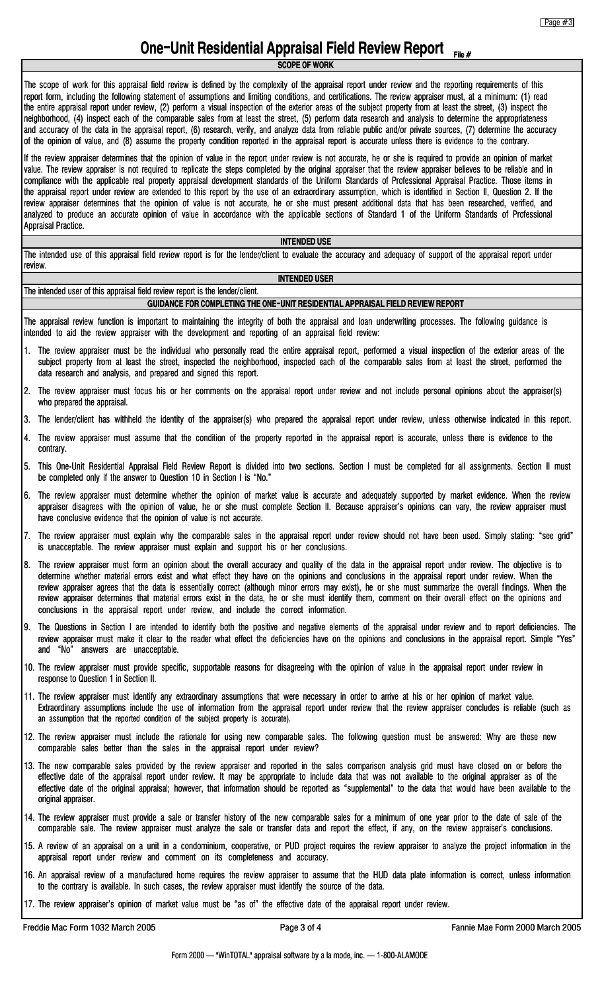# **One-Unit Residential Appraisal Field Review Report File #**

**SCOPE OF WORK**

The scope of work for this appraisal field review is defined by the complexity of the appraisal report under review and the reporting requirements of this report form, including the following statement of assumptions and limiting conditions, and certifications. The review appraiser must, at a minimum: (1) read the entire appraisal report under review, (2) perform a visual inspection of the exterior areas of the subject property from at least the street, (3) inspect the neighborhood, (4) inspect each of the comparable sales from at least the street, (5) perform data research and analysis to determine the appropriateness and accuracy of the data in the appraisal report, (6) research, verify, and analyze data from reliable public and/or private sources, (7) determine the accuracy of the opinion of value, and (8) assume the property condition reported in the appraisal report is accurate unless there is evidence to the contrary.

If the review appraiser determines that the opinion of value in the report under review is not accurate, he or she is required to provide an opinion of market value. The review appraiser is not required to replicate the steps completed by the original appraiser that the review appraiser believes to be reliable and in compliance with the applicable real property appraisal development standards of the Uniform Standards of Professional Appraisal Practice. Those items in the appraisal report under review are extended to this report by the use of an extraordinary assumption, which is identified in Section II, Question 2. If the review appraiser determines that the opinion of value is not accurate, he or she must present additional data that has been researched, verified, and analyzed to produce an accurate opinion of value in accordance with the applicable sections of Standard 1 of the Uniform Standards of Professional Appraisal Practice.

**INTENDED USE**

The intended use of this appraisal field review report is for the lender/client to evaluate the accuracy and adequacy of support of the appraisal report under review.

#### **INTENDED USER**

The intended user of this appraisal field review report is the lender/client.

#### **GUIDANCE FOR COMPLETING THE ONE-UNIT RESIDENTIAL APPRAISAL FIELD REVIEW REPORT**

The appraisal review function is important to maintaining the integrity of both the appraisal and loan underwriting processes. The following guidance is intended to aid the review appraiser with the development and reporting of an appraisal field review:

- 1. The review appraiser must be the individual who personally read the entire appraisal report, performed a visual inspection of the exterior areas of the subject property from at least the street, inspected the neighborhood, inspected each of the comparable sales from at least the street, performed the data research and analysis, and prepared and signed this report.
- 2. The review appraiser must focus his or her comments on the appraisal report under review and not include personal opinions about the appraiser(s) who prepared the appraisal.
- 3. The lender/client has withheld the identity of the appraiser(s) who prepared the appraisal report under review, unless otherwise indicated in this report.
- 4. The review appraiser must assume that the condition of the property reported in the appraisal report is accurate, unless there is evidence to the contrary.
- 5. This One-Unit Residential Appraisal Field Review Report is divided into two sections. Section I must be completed for all assignments. Section II must be completed only if the answer to Question 10 in Section I is "No."
- 6. The review appraiser must determine whether the opinion of market value is accurate and adequately supported by market evidence. When the review appraiser disagrees with the opinion of value, he or she must complete Section II. Because appraiser's opinions can vary, the review appraiser must have conclusive evidence that the opinion of value is not accurate.
- The review appraiser must explain why the comparable sales in the appraisal report under review should not have been used. Simply stating: "see grid" is unacceptable. The review appraiser must explain and support his or her conclusions.
- 8. The review appraiser must form an opinion about the overall accuracy and quality of the data in the appraisal report under review. The objective is to determine whether material errors exist and what effect they have on the opinions and conclusions in the appraisal report under review. When the review appraiser agrees that the data is essentially correct (although minor errors may exist), he or she must summarize the overall findings. When the review appraiser determines that material errors exist in the data, he or she must identify them, comment on their overall effect on the opinions and conclusions in the appraisal report under review, and include the correct information.
- 9. The Questions in Section I are intended to identify both the positive and negative elements of the appraisal under review and to report deficiencies. The review appraiser must make it clear to the reader what effect the deficiencies have on the opinions and conclusions in the appraisal report. Simple "Yes" and "No" answers are unacceptable.
- 10. The review appraiser must provide specific, supportable reasons for disagreeing with the opinion of value in the appraisal report under review in response to Question 1 in Section II.
- 11. The review appraiser must identify any extraordinary assumptions that were necessary in order to arrive at his or her opinion of market value. Extraordinary assumptions include the use of information from the appraisal report under review that the review appraiser concludes is reliable (such as an assumption that the reported condition of the subject property is accurate).
- 12. The review appraiser must include the rationale for using new comparable sales. The following question must be answered: Why are these new comparable sales better than the sales in the appraisal report under review?
- 13. The new comparable sales provided by the review appraiser and reported in the sales comparison analysis grid must have closed on or before the effective date of the appraisal report under review. It may be appropriate to include data that was not available to the original appraiser as of the effective date of the original appraisal; however, that information should be reported as "supplemental" to the data that would have been available to the original appraiser.
- 14. The review appraiser must provide a sale or transfer history of the new comparable sales for a minimum of one year prior to the date of sale of the comparable sale. The review appraiser must analyze the sale or transfer data and report the effect, if any, on the review appraiser's conclusions.
- 15. A review of an appraisal on a unit in a condominium, cooperative, or PUD project requires the review appraiser to analyze the project information in the appraisal report under review and comment on its completeness and accuracy.
- 16. An appraisal review of a manufactured home requires the review appraiser to assume that the HUD data plate information is correct, unless information to the contrary is available. In such cases, the review appraiser must identify the source of the data.
- 17. The review appraiser's opinion of market value must be "as of" the effective date of the appraisal report under review.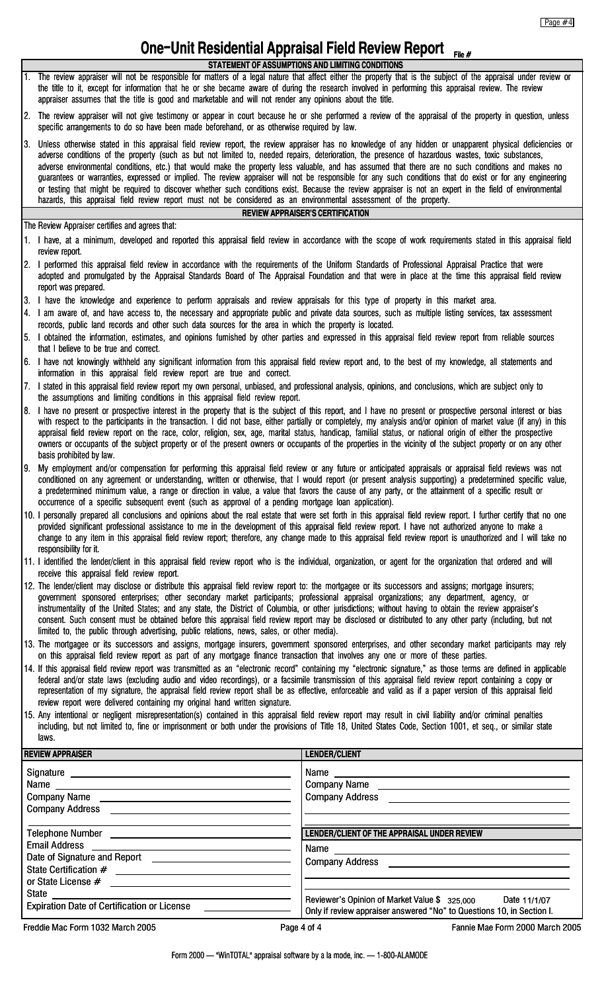# **One-Unit Residential Appraisal Field Review Report** File #

- **STATEMENT OF ASSUMPTIONS AND LIMITING CONDITIONS** The review appraiser will not be responsible for matters of a legal nature that affect either the property that is the subject of the appraisal under review or the title to it, except for information that he or she became aware of during the research involved in performing this appraisal review. The review appraiser assumes that the title is good and marketable and will not render any opinions about the title.
- 2. The review appraiser will not give testimony or appear in court because he or she performed a review of the appraisal of the property in question, unless specific arrangements to do so have been made beforehand, or as otherwise required by law.
- 3. Unless otherwise stated in this appraisal field review report, the review appraiser has no knowledge of any hidden or unapparent physical deficiencies or adverse conditions of the property (such as but not limited to, needed repairs, deterioration, the presence of hazardous wastes, toxic substances, adverse environmental conditions, etc.) that would make the property less valuable, and has assumed that there are no such conditions and makes no guarantees or warranties, expressed or implied. The review appraiser will not be responsible for any such conditions that do exist or for any engineering or testing that might be required to discover whether such conditions exist. Because the review appraiser is not an expert in the field of environmental hazards, this appraisal field review report must not be considered as an environmental assessment of the property. **REVIEW APPRAISER'S CERTIFICATION**

The Review Appraiser certifies and agrees that:

- 1. I have, at a minimum, developed and reported this appraisal field review in accordance with the scope of work requirements stated in this appraisal field review report.
- 2. I performed this appraisal field review in accordance with the requirements of the Uniform Standards of Professional Appraisal Practice that were adopted and promulgated by the Appraisal Standards Board of The Appraisal Foundation and that were in place at the time this appraisal field review report was prepared.
- 3. I have the knowledge and experience to perform appraisals and review appraisals for this type of property in this market area.
- 4. I am aware of, and have access to, the necessary and appropriate public and private data sources, such as multiple listing services, tax assessment records, public land records and other such data sources for the area in which the property is located.
- 5. I obtained the information, estimates, and opinions furnished by other parties and expressed in this appraisal field review report from reliable sources that I believe to be true and correct.
- 6. I have not knowingly withheld any significant information from this appraisal field review report and, to the best of my knowledge, all statements and information in this appraisal field review report are true and correct.
- 7. I stated in this appraisal field review report my own personal, unbiased, and professional analysis, opinions, and conclusions, which are subject only to the assumptions and limiting conditions in this appraisal field review report.
- 8. I have no present or prospective interest in the property that is the subject of this report, and I have no present or prospective personal interest or bias with respect to the participants in the transaction. I did not base, either partially or completely, my analysis and/or opinion of market value (if any) in this appraisal field review report on the race, color, religion, sex, age, marital status, handicap, familial status, or national origin of either the prospective owners or occupants of the subject property or of the present owners or occupants of the properties in the vicinity of the subject property or on any other basis prohibited by law.
- 9. My employment and/or compensation for performing this appraisal field review or any future or anticipated appraisals or appraisal field reviews was not conditioned on any agreement or understanding, written or otherwise, that I would report (or present analysis supporting) a predetermined specific value, a predetermined minimum value, a range or direction in value, a value that favors the cause of any party, or the attainment of a specific result or occurrence of a specific subsequent event (such as approval of a pending mortgage loan application).
- 10. I personally prepared all conclusions and opinions about the real estate that were set forth in this appraisal field review report. I further certify that no one provided significant professional assistance to me in the development of this appraisal field review report. I have not authorized anyone to make a change to any item in this appraisal field review report; therefore, any change made to this appraisal field review report is unauthorized and I will take no responsibility for it.
- 11. I identified the lender/client in this appraisal field review report who is the individual, organization, or agent for the organization that ordered and will receive this appraisal field review report.
- 12. The lender/client may disclose or distribute this appraisal field review report to: the mortgagee or its successors and assigns; mortgage insurers; government sponsored enterprises; other secondary market participants; professional appraisal organizations; any department, agency, or instrumentality of the United States; and any state, the District of Columbia, or other jurisdictions; without having to obtain the review appraiser's consent. Such consent must be obtained before this appraisal field review report may be disclosed or distributed to any other party (including, but not limited to, the public through advertising, public relations, news, sales, or other media).
- 13. The mortgagee or its successors and assigns, mortgage insurers, government sponsored enterprises, and other secondary market participants may rely on this appraisal field review report as part of any mortgage finance transaction that involves any one or more of these parties.
- 14. If this appraisal field review report was transmitted as an "electronic record" containing my "electronic signature," as those terms are defined in applicable federal and/or state laws (excluding audio and video recordings), or a facsimile transmission of this appraisal field review report containing a copy or representation of my signature, the appraisal field review report shall be as effective, enforceable and valid as if a paper version of this appraisal field review report were delivered containing my original hand written signature.
- 15. Any intentional or negligent misrepresentation(s) contained in this appraisal field review report may result in civil liability and/or criminal penalties including, but not limited to, fine or imprisonment or both under the provisions of Title 18, United States Code, Section 1001, et seq., or similar state laws.

| <b>REVIEW APPRAISER</b>                                   | <b>LENDER/CLIENT</b>                                                                                                                                       |  |
|-----------------------------------------------------------|------------------------------------------------------------------------------------------------------------------------------------------------------------|--|
| Company Address <b>Company Address</b>                    | Company Address <b>Company Address</b>                                                                                                                     |  |
|                                                           | LENDER/CLIENT OF THE APPRAISAL UNDER REVIEW                                                                                                                |  |
|                                                           | Name 2008 2009 2010 2021 2022 2023 2024 2022 2023 2024 2022 2023 2024 2025 2026 2027 2028 2021 2022 2023 2024 20<br>Company Address <b>Company Address</b> |  |
| Expiration Date of Certification or License _____________ | Reviewer's Opinion of Market Value \$ 325,000 Date 11/1/07<br>Only if review appraiser answered "No" to Questions 10, in Section I.                        |  |
| Freddie Mac Form 1032 March 2005                          | Page 4 of 4<br>Fannie Mae Form 2000 March 2005                                                                                                             |  |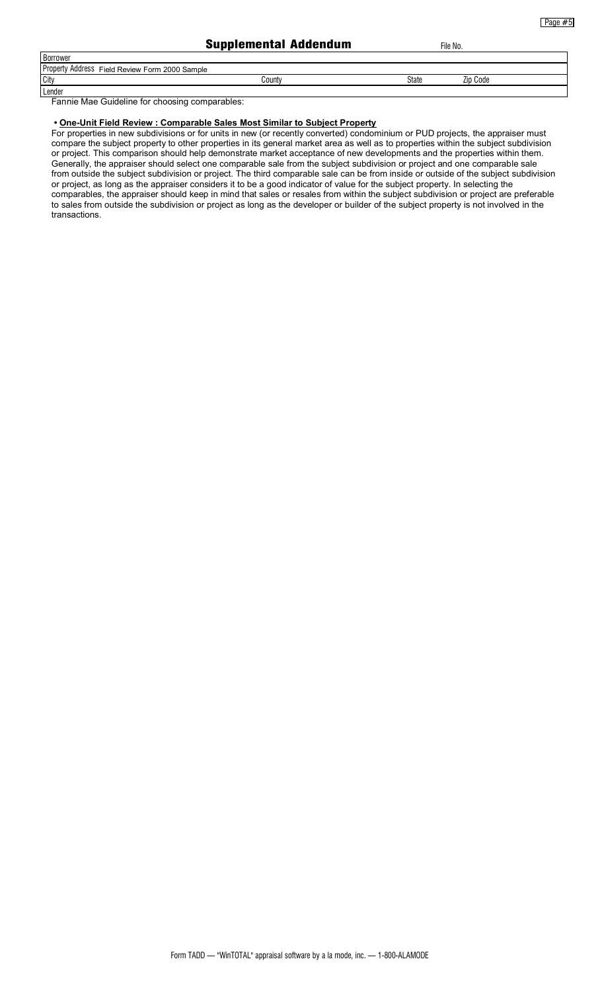Page #5

#### Supplemental Addendum

| File No. |  |
|----------|--|
|          |  |

| <b>Borrower</b>                                |        |              |          |
|------------------------------------------------|--------|--------------|----------|
| Property Address Field Review Form 2000 Sample |        |              |          |
| City                                           | Countv | <b>State</b> | Zip Code |
| Lender                                         |        |              |          |

Fannie Mae Guideline for choosing comparables:

#### **• One-Unit Field Review : Comparable Sales Most Similar to Subject Property**

For properties in new subdivisions or for units in new (or recently converted) condominium or PUD projects, the appraiser must compare the subject property to other properties in its general market area as well as to properties within the subject subdivision or project. This comparison should help demonstrate market acceptance of new developments and the properties within them. Generally, the appraiser should select one comparable sale from the subject subdivision or project and one comparable sale from outside the subject subdivision or project. The third comparable sale can be from inside or outside of the subject subdivision or project, as long as the appraiser considers it to be a good indicator of value for the subject property. In selecting the comparables, the appraiser should keep in mind that sales or resales from within the subject subdivision or project are preferable to sales from outside the subdivision or project as long as the developer or builder of the subject property is not involved in the transactions.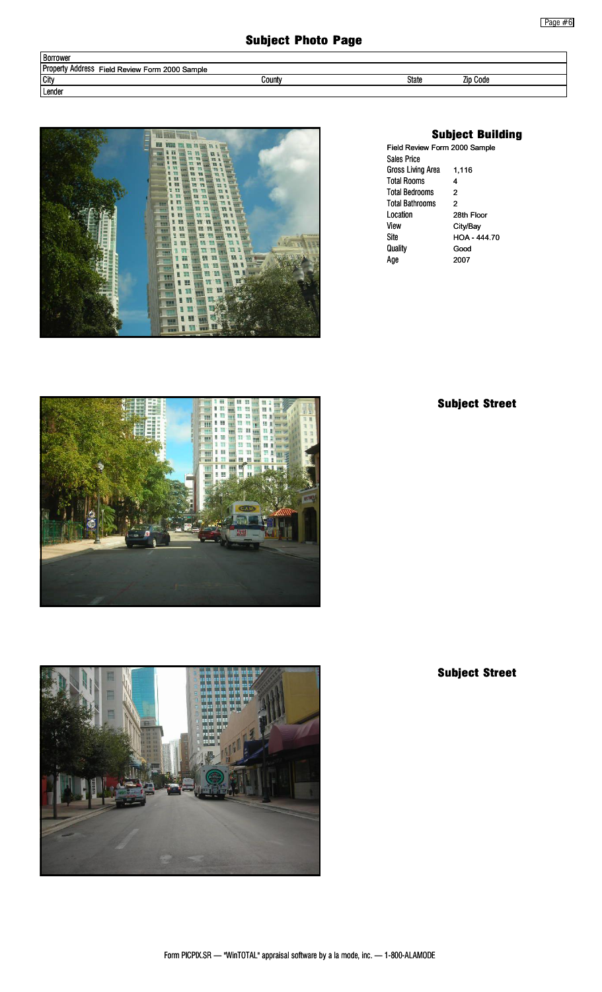| Borrower                                       |        |       |                 |
|------------------------------------------------|--------|-------|-----------------|
| Property Address Field Review Form 2000 Sample |        |       |                 |
| <b>City</b>                                    | Countv | State | <b>Zip Code</b> |
| Lender                                         |        |       |                 |



# Subject Building

| Field Review Form 2000 Sample |              |  |  |
|-------------------------------|--------------|--|--|
| Sales Price                   |              |  |  |
| Gross Living Area             | 1,116        |  |  |
| <b>Total Rooms</b>            | 4            |  |  |
| <b>Total Bedrooms</b>         | 2            |  |  |
| <b>Total Bathrooms</b>        | 2            |  |  |
| Location                      | 28th Floor   |  |  |
| View                          | City/Bay     |  |  |
| Site                          | HOA - 444.70 |  |  |
| Quality                       | Good         |  |  |
| Age                           | 2007         |  |  |

# Subject Street





Subject Street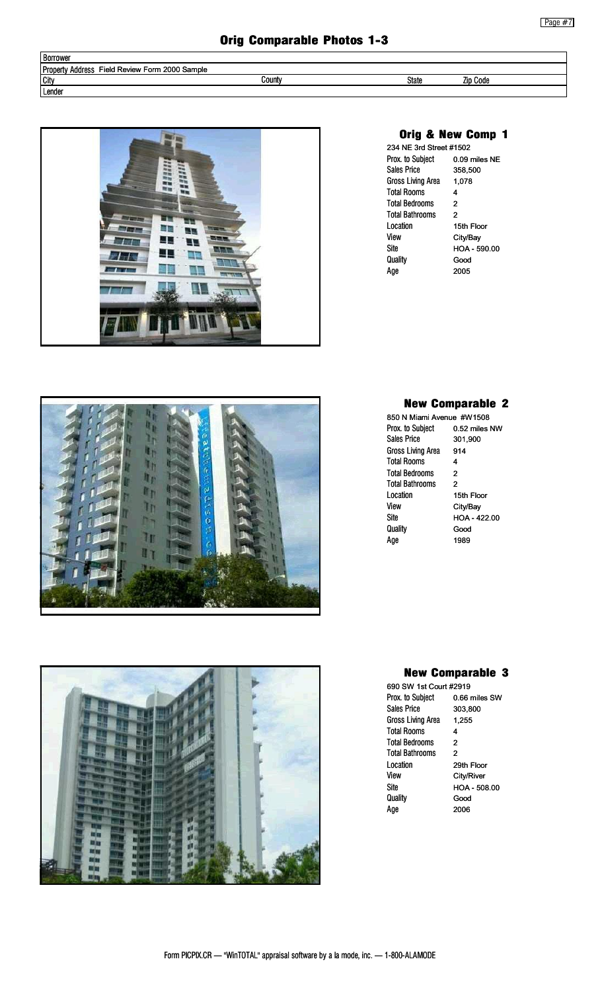# Orig Comparable Photos 1-3

| <b>Borrower</b>                                       |        |       |          |
|-------------------------------------------------------|--------|-------|----------|
| Property,<br>Field Review Form 2000 Sample<br>Address |        |       |          |
| City                                                  | County | State | Zip Code |
| Lender                                                |        |       |          |



# Orig & New Comp 1

| 234 NE 3rd Street #1502 |               |
|-------------------------|---------------|
| Prox. to Subject        | 0.09 miles NE |
| <b>Sales Price</b>      | 358,500       |
| Gross Living Area       | 1.078         |
| <b>Total Rooms</b>      | 4             |
| <b>Total Bedrooms</b>   | 2             |
| <b>Total Bathrooms</b>  | 2             |
| I ocation               | 15th Floor    |
| View                    | City/Bay      |
| Site                    | HOA - 590.00  |
| Quality                 | Good          |
| Aae                     | 2005          |
|                         |               |



Prox. to Subject Sales Price Gross Living Area Total Rooms Total Bedrooms Total Bathrooms Location View Site **Quality** Age

0.52 miles NW 301,900 914 4 2 2 15th Floor City/Bay HOA - 422.00 Good 1989





## New Comparable 3

Prox. to Subject Sales Price Gross Living Area Total Rooms Total Bedrooms Total Bathrooms Location View Site **Quality** Age 690 SW 1st Court #2919 0.66 miles SW 303,800 1,255 4 2 2 29th Floor City/River HOA - 508.00 Good 2006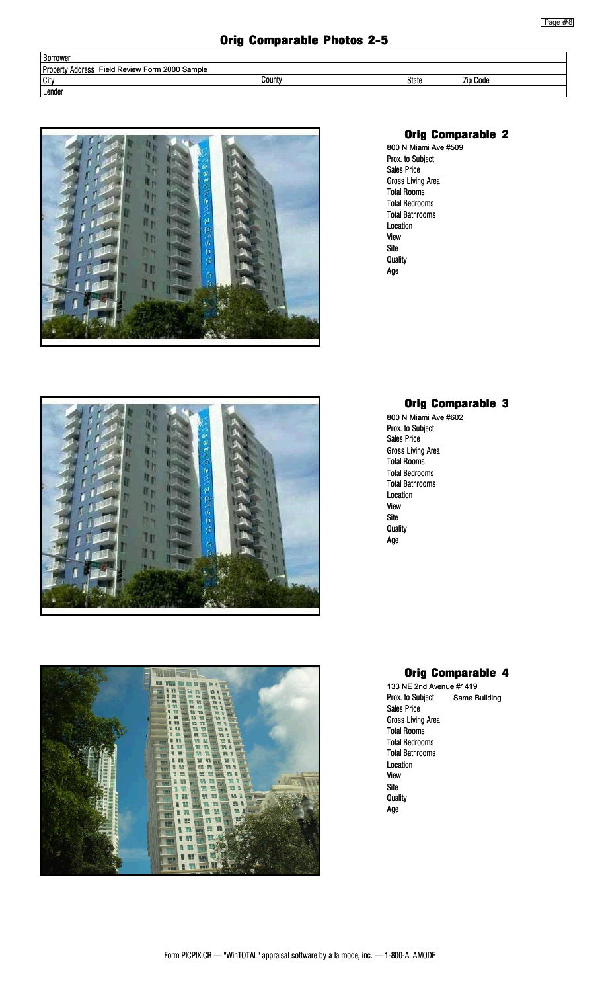| <b>Borrower</b>                                             |        |       |                 |  |
|-------------------------------------------------------------|--------|-------|-----------------|--|
| <b>Property</b><br>Address<br>Field Review Form 2000 Sample |        |       |                 |  |
| <b>City</b>                                                 | Countv | State | <b>Zip Code</b> |  |
| Lender                                                      |        |       |                 |  |



# ۱'n lt p II<sub>I</sub> In In  $\mathbf{u}$



## Orig Comparable 2

Prox. to Subject Sales Price Gross Living Area Total Rooms Total Bedrooms Total Bathrooms Location View Site **Quality** Age 800 N Miami Ave #509

# Orig Comparable 3

Prox. to Subject Sales Price Gross Living Area Total Rooms Total Bedrooms Total Bathrooms Location View Site **Quality** Age 800 N Miami Ave #602

# Orig Comparable 4

Prox. to Subject Sales Price Gross Living Area Total Rooms Total Bedrooms Total Bathrooms Location View Site **Quality** Age 133 NE 2nd Avenue #1419 Same Building